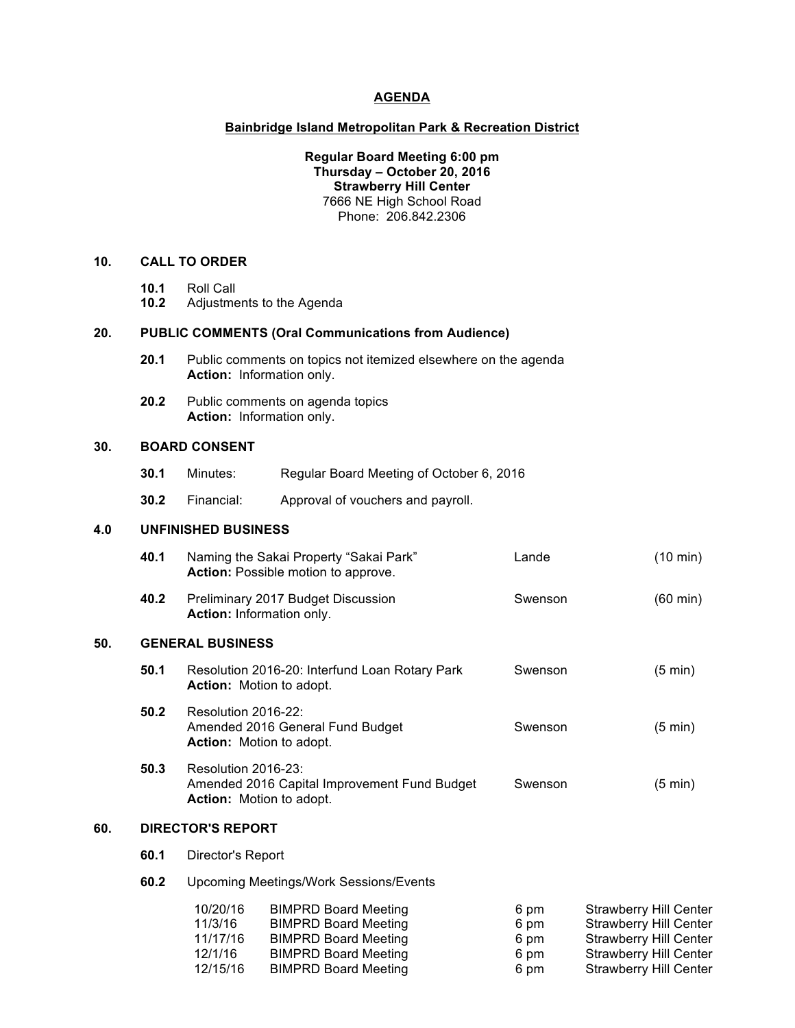#### **AGENDA**

#### **Bainbridge Island Metropolitan Park & Recreation District**

**Regular Board Meeting 6:00 pm Thursday – October 20, 2016 Strawberry Hill Center** 7666 NE High School Road Phone: 206.842.2306

# **10. CALL TO ORDER**

- **10.1** Roll Call
- **10.2** Adjustments to the Agenda

#### **20. PUBLIC COMMENTS (Oral Communications from Audience)**

- **20.1** Public comments on topics not itemized elsewhere on the agenda **Action:** Information only.
- **20.2** Public comments on agenda topics **Action:** Information only.

### **30. BOARD CONSENT**

**50.** 

- **30.1** Minutes: Regular Board Meeting of October 6, 2016
- **30.2** Financial: Approval of vouchers and payroll.

### **4.0 UNFINISHED BUSINESS**

|     | 40.1 | Naming the Sakai Property "Sakai Park"<br><b>Action:</b> Possible motion to approve.                   | Lande   | $(10 \text{ min})$ |  |  |
|-----|------|--------------------------------------------------------------------------------------------------------|---------|--------------------|--|--|
|     | 40.2 | Preliminary 2017 Budget Discussion<br>Action: Information only.                                        | Swenson | $(60 \text{ min})$ |  |  |
| 50. |      | <b>GENERAL BUSINESS</b>                                                                                |         |                    |  |  |
|     | 50.1 | Resolution 2016-20: Interfund Loan Rotary Park<br><b>Action:</b> Motion to adopt.                      | Swenson | $(5 \text{ min})$  |  |  |
|     | 50.2 | Resolution 2016-22:<br>Amended 2016 General Fund Budget<br><b>Action:</b> Motion to adopt.             | Swenson | $(5 \text{ min})$  |  |  |
|     | 50.3 | Resolution 2016-23:<br>Amended 2016 Capital Improvement Fund Budget<br><b>Action:</b> Motion to adopt. | Swenson | $(5 \text{ min})$  |  |  |
| 60. |      | <b>DIRECTOR'S REPORT</b>                                                                               |         |                    |  |  |
|     | 60.1 | Director's Report                                                                                      |         |                    |  |  |
|     | 60.2 | <b>Upcoming Meetings/Work Sessions/Events</b>                                                          |         |                    |  |  |

| 10/20/16 | <b>BIMPRD Board Meeting</b> | 6 pm | <b>Strawberry Hill Center</b> |
|----------|-----------------------------|------|-------------------------------|
| 11/3/16  | <b>BIMPRD Board Meeting</b> | 6 pm | <b>Strawberry Hill Center</b> |
| 11/17/16 | <b>BIMPRD Board Meeting</b> | 6 pm | <b>Strawberry Hill Center</b> |
| 12/1/16  | <b>BIMPRD Board Meeting</b> | 6 pm | <b>Strawberry Hill Center</b> |
| 12/15/16 | <b>BIMPRD Board Meeting</b> | 6 pm | <b>Strawberry Hill Center</b> |